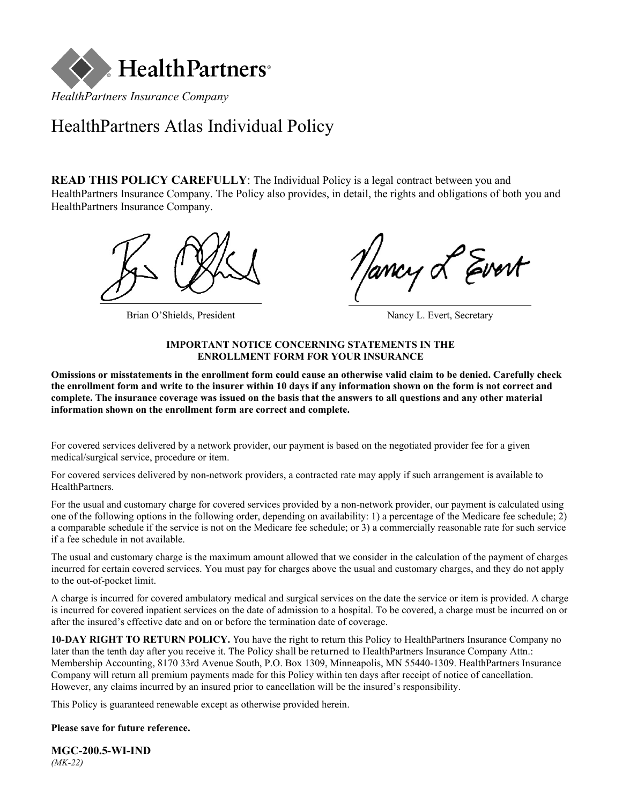

# HealthPartners Atlas Individual Policy

**READ THIS POLICY CAREFULLY**: The Individual Policy is a legal contract between you and HealthPartners Insurance Company. The Policy also provides, in detail, the rights and obligations of both you and HealthPartners Insurance Company.



Brian O'Shields, President Nancy L. Evert, Secretary

Evert

#### **IMPORTANT NOTICE CONCERNING STATEMENTS IN THE ENROLLMENT FORM FOR YOUR INSURANCE**

**Omissions or misstatements in the enrollment form could cause an otherwise valid claim to be denied. Carefully check the enrollment form and write to the insurer within 10 days if any information shown on the form is not correct and complete. The insurance coverage was issued on the basis that the answers to all questions and any other material information shown on the enrollment form are correct and complete.**

For covered services delivered by a network provider, our payment is based on the negotiated provider fee for a given medical/surgical service, procedure or item.

For covered services delivered by non-network providers, a contracted rate may apply if such arrangement is available to HealthPartners.

For the usual and customary charge for covered services provided by a non-network provider, our payment is calculated using one of the following options in the following order, depending on availability: 1) a percentage of the Medicare fee schedule; 2) a comparable schedule if the service is not on the Medicare fee schedule; or 3) a commercially reasonable rate for such service if a fee schedule in not available.

The usual and customary charge is the maximum amount allowed that we consider in the calculation of the payment of charges incurred for certain covered services. You must pay for charges above the usual and customary charges, and they do not apply to the out-of-pocket limit.

A charge is incurred for covered ambulatory medical and surgical services on the date the service or item is provided. A charge is incurred for covered inpatient services on the date of admission to a hospital. To be covered, a charge must be incurred on or after the insured's effective date and on or before the termination date of coverage.

**10-DAY RIGHT TO RETURN POLICY.** You have the right to return this Policy to HealthPartners Insurance Company no later than the tenth day after you receive it. The Policy shall be returned to HealthPartners Insurance Company Attn.: Membership Accounting, 8170 33rd Avenue South, P.O. Box 1309, Minneapolis, MN 55440-1309. HealthPartners Insurance Company will return all premium payments made for this Policy within ten days after receipt of notice of cancellation. However, any claims incurred by an insured prior to cancellation will be the insured's responsibility.

This Policy is guaranteed renewable except as otherwise provided herein.

### **Please save for future reference.**

**MGC-200.5-WI-IND** *(MK-22)*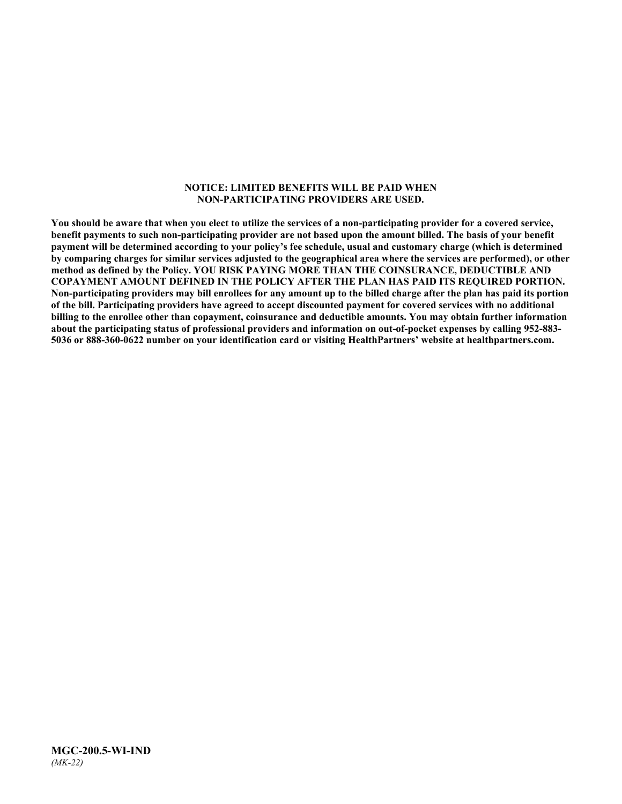#### **NOTICE: LIMITED BENEFITS WILL BE PAID WHEN NON-PARTICIPATING PROVIDERS ARE USED.**

**You should be aware that when you elect to utilize the services of a non-participating provider for a covered service, benefit payments to such non-participating provider are not based upon the amount billed. The basis of your benefit payment will be determined according to your policy's fee schedule, usual and customary charge (which is determined by comparing charges for similar services adjusted to the geographical area where the services are performed), or other method as defined by the Policy. YOU RISK PAYING MORE THAN THE COINSURANCE, DEDUCTIBLE AND COPAYMENT AMOUNT DEFINED IN THE POLICY AFTER THE PLAN HAS PAID ITS REQUIRED PORTION. Non-participating providers may bill enrollees for any amount up to the billed charge after the plan has paid its portion of the bill. Participating providers have agreed to accept discounted payment for covered services with no additional billing to the enrollee other than copayment, coinsurance and deductible amounts. You may obtain further information about the participating status of professional providers and information on out-of-pocket expenses by calling 952-883- 5036 or 888-360-0622 number on your identification card or visiting HealthPartners' website a[t healthpartners.com.](http://www.healthpartners.com/)**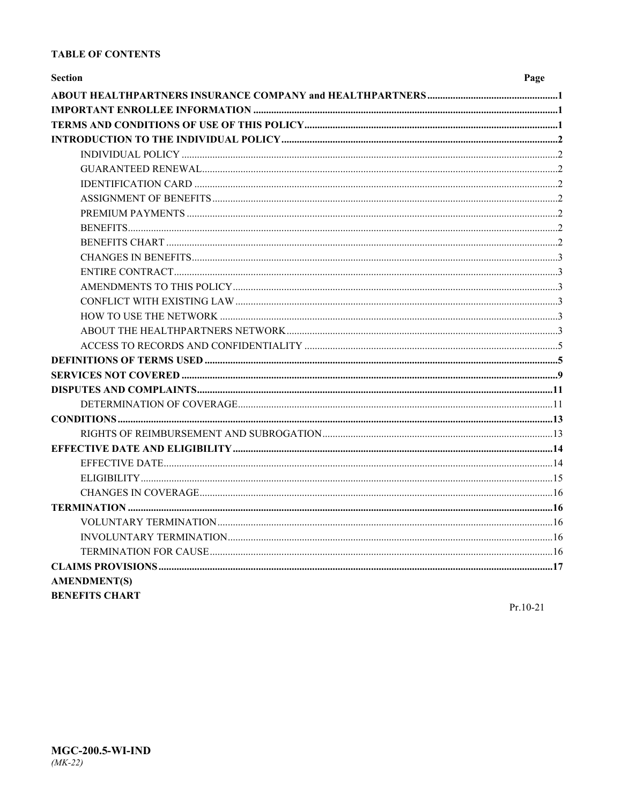### **TABLE OF CONTENTS**

| <b>Section</b>        | Page |
|-----------------------|------|
|                       |      |
|                       |      |
|                       |      |
|                       |      |
|                       |      |
|                       |      |
|                       |      |
|                       |      |
|                       |      |
|                       |      |
|                       |      |
|                       |      |
|                       |      |
|                       |      |
|                       |      |
|                       |      |
|                       |      |
|                       |      |
|                       |      |
|                       |      |
|                       |      |
|                       |      |
|                       |      |
|                       |      |
|                       |      |
|                       |      |
|                       |      |
|                       |      |
|                       |      |
|                       |      |
|                       |      |
|                       |      |
|                       |      |
| <b>AMENDMENT(S)</b>   |      |
| <b>BENEFITS CHART</b> |      |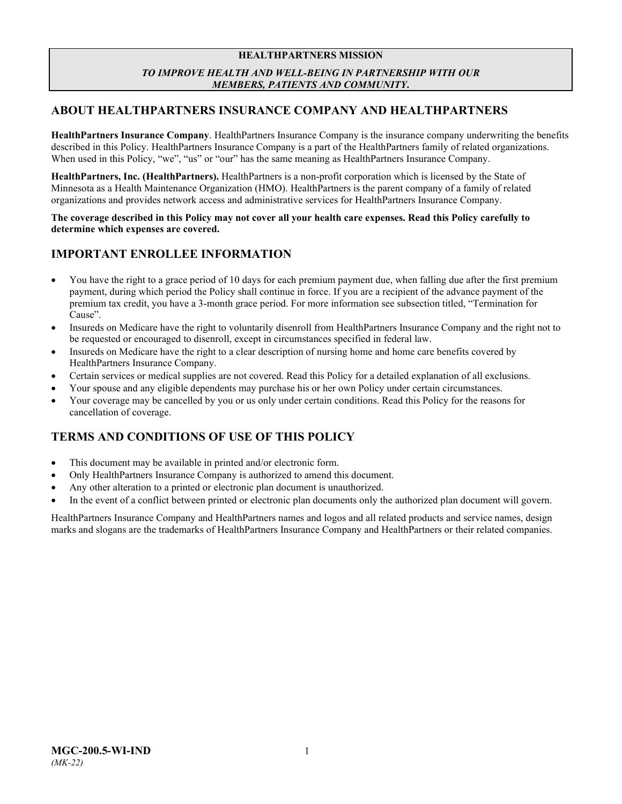### **HEALTHPARTNERS MISSION** *TO IMPROVE HEALTH AND WELL-BEING IN PARTNERSHIP WITH OUR MEMBERS, PATIENTS AND COMMUNITY***.**

### <span id="page-3-0"></span>**ABOUT HEALTHPARTNERS INSURANCE COMPANY AND HEALTHPARTNERS**

**HealthPartners Insurance Company**. HealthPartners Insurance Company is the insurance company underwriting the benefits described in this Policy. HealthPartners Insurance Company is a part of the HealthPartners family of related organizations. When used in this Policy, "we", "us" or "our" has the same meaning as HealthPartners Insurance Company.

**HealthPartners, Inc. (HealthPartners).** HealthPartners is a non-profit corporation which is licensed by the State of Minnesota as a Health Maintenance Organization (HMO). HealthPartners is the parent company of a family of related organizations and provides network access and administrative services for HealthPartners Insurance Company.

**The coverage described in this Policy may not cover all your health care expenses. Read this Policy carefully to determine which expenses are covered.**

### <span id="page-3-1"></span>**IMPORTANT ENROLLEE INFORMATION**

- You have the right to a grace period of 10 days for each premium payment due, when falling due after the first premium payment, during which period the Policy shall continue in force. If you are a recipient of the advance payment of the premium tax credit, you have a 3-month grace period. For more information see subsection titled, "Termination for Cause".
- Insureds on Medicare have the right to voluntarily disenroll from HealthPartners Insurance Company and the right not to be requested or encouraged to disenroll, except in circumstances specified in federal law.
- Insureds on Medicare have the right to a clear description of nursing home and home care benefits covered by HealthPartners Insurance Company.
- Certain services or medical supplies are not covered. Read this Policy for a detailed explanation of all exclusions.
- Your spouse and any eligible dependents may purchase his or her own Policy under certain circumstances.
- Your coverage may be cancelled by you or us only under certain conditions. Read this Policy for the reasons for cancellation of coverage.

### <span id="page-3-2"></span>**TERMS AND CONDITIONS OF USE OF THIS POLICY**

- This document may be available in printed and/or electronic form.
- Only HealthPartners Insurance Company is authorized to amend this document.
- Any other alteration to a printed or electronic plan document is unauthorized.
- In the event of a conflict between printed or electronic plan documents only the authorized plan document will govern.

HealthPartners Insurance Company and HealthPartners names and logos and all related products and service names, design marks and slogans are the trademarks of HealthPartners Insurance Company and HealthPartners or their related companies.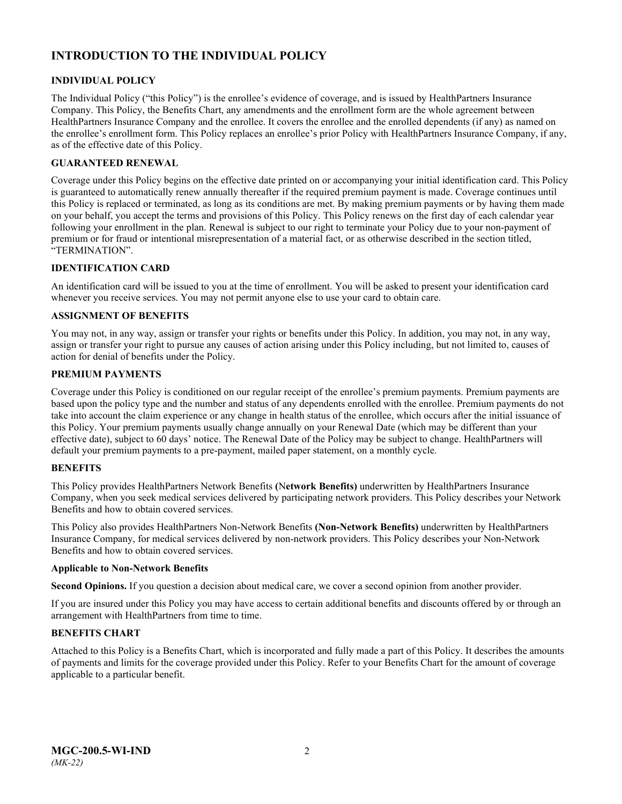## <span id="page-4-0"></span>**INTRODUCTION TO THE INDIVIDUAL POLICY**

### <span id="page-4-1"></span>**INDIVIDUAL POLICY**

The Individual Policy ("this Policy") is the enrollee's evidence of coverage, and is issued by HealthPartners Insurance Company. This Policy, the Benefits Chart, any amendments and the enrollment form are the whole agreement between HealthPartners Insurance Company and the enrollee. It covers the enrollee and the enrolled dependents (if any) as named on the enrollee's enrollment form. This Policy replaces an enrollee's prior Policy with HealthPartners Insurance Company, if any, as of the effective date of this Policy.

### <span id="page-4-2"></span>**GUARANTEED RENEWAL**

Coverage under this Policy begins on the effective date printed on or accompanying your initial identification card. This Policy is guaranteed to automatically renew annually thereafter if the required premium payment is made. Coverage continues until this Policy is replaced or terminated, as long as its conditions are met. By making premium payments or by having them made on your behalf, you accept the terms and provisions of this Policy. This Policy renews on the first day of each calendar year following your enrollment in the plan. Renewal is subject to our right to terminate your Policy due to your non-payment of premium or for fraud or intentional misrepresentation of a material fact, or as otherwise described in the section titled, "TERMINATION".

### <span id="page-4-3"></span>**IDENTIFICATION CARD**

An identification card will be issued to you at the time of enrollment. You will be asked to present your identification card whenever you receive services. You may not permit anyone else to use your card to obtain care.

### <span id="page-4-4"></span>**ASSIGNMENT OF BENEFITS**

You may not, in any way, assign or transfer your rights or benefits under this Policy. In addition, you may not, in any way, assign or transfer your right to pursue any causes of action arising under this Policy including, but not limited to, causes of action for denial of benefits under the Policy.

### <span id="page-4-5"></span>**PREMIUM PAYMENTS**

Coverage under this Policy is conditioned on our regular receipt of the enrollee's premium payments. Premium payments are based upon the policy type and the number and status of any dependents enrolled with the enrollee. Premium payments do not take into account the claim experience or any change in health status of the enrollee, which occurs after the initial issuance of this Policy. Your premium payments usually change annually on your Renewal Date (which may be different than your effective date), subject to 60 days' notice. The Renewal Date of the Policy may be subject to change. HealthPartners will default your premium payments to a pre-payment, mailed paper statement, on a monthly cycle.

### <span id="page-4-6"></span>**BENEFITS**

This Policy provides HealthPartners Network Benefits **(**N**etwork Benefits)** underwritten by HealthPartners Insurance Company, when you seek medical services delivered by participating network providers. This Policy describes your Network Benefits and how to obtain covered services.

This Policy also provides HealthPartners Non-Network Benefits **(Non-Network Benefits)** underwritten by HealthPartners Insurance Company, for medical services delivered by non-network providers. This Policy describes your Non-Network Benefits and how to obtain covered services.

#### **Applicable to Non-Network Benefits**

**Second Opinions.** If you question a decision about medical care, we cover a second opinion from another provider.

If you are insured under this Policy you may have access to certain additional benefits and discounts offered by or through an arrangement with HealthPartners from time to time.

### <span id="page-4-7"></span>**BENEFITS CHART**

Attached to this Policy is a Benefits Chart, which is incorporated and fully made a part of this Policy. It describes the amounts of payments and limits for the coverage provided under this Policy. Refer to your Benefits Chart for the amount of coverage applicable to a particular benefit.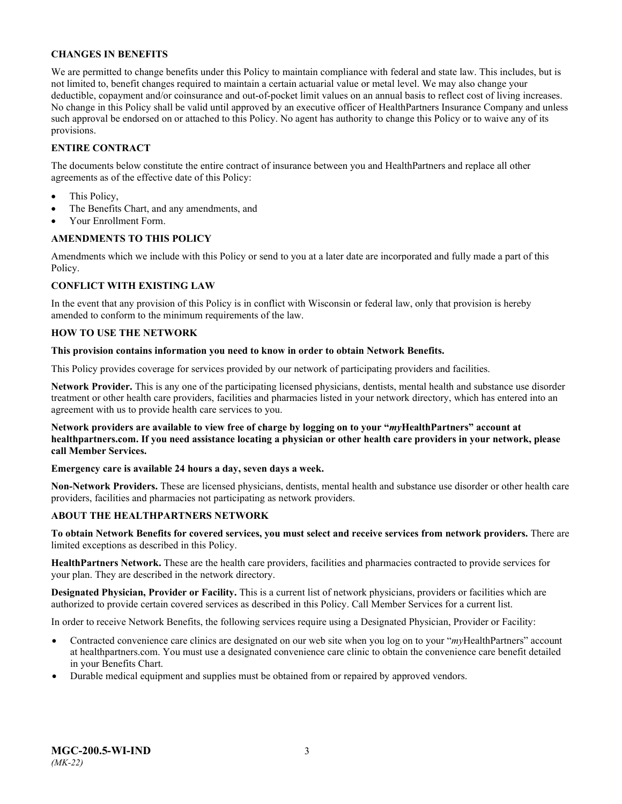### <span id="page-5-0"></span>**CHANGES IN BENEFITS**

We are permitted to change benefits under this Policy to maintain compliance with federal and state law. This includes, but is not limited to, benefit changes required to maintain a certain actuarial value or metal level. We may also change your deductible, copayment and/or coinsurance and out-of-pocket limit values on an annual basis to reflect cost of living increases. No change in this Policy shall be valid until approved by an executive officer of HealthPartners Insurance Company and unless such approval be endorsed on or attached to this Policy. No agent has authority to change this Policy or to waive any of its provisions.

### <span id="page-5-1"></span>**ENTIRE CONTRACT**

The documents below constitute the entire contract of insurance between you and HealthPartners and replace all other agreements as of the effective date of this Policy:

- This Policy,
- The Benefits Chart, and any amendments, and
- Your Enrollment Form.

### <span id="page-5-2"></span>**AMENDMENTS TO THIS POLICY**

Amendments which we include with this Policy or send to you at a later date are incorporated and fully made a part of this Policy.

### <span id="page-5-3"></span>**CONFLICT WITH EXISTING LAW**

In the event that any provision of this Policy is in conflict with Wisconsin or federal law, only that provision is hereby amended to conform to the minimum requirements of the law.

### <span id="page-5-4"></span>**HOW TO USE THE NETWORK**

#### **This provision contains information you need to know in order to obtain Network Benefits.**

This Policy provides coverage for services provided by our network of participating providers and facilities.

**Network Provider.** This is any one of the participating licensed physicians, dentists, mental health and substance use disorder treatment or other health care providers, facilities and pharmacies listed in your network directory, which has entered into an agreement with us to provide health care services to you.

**Network providers are available to view free of charge by logging on to your "***my***HealthPartners" account at [healthpartners.com.](http://www.healthpartners.com/) If you need assistance locating a physician or other health care providers in your network, please call Member Services.**

### **Emergency care is available 24 hours a day, seven days a week.**

**Non-Network Providers.** These are licensed physicians, dentists, mental health and substance use disorder or other health care providers, facilities and pharmacies not participating as network providers.

### <span id="page-5-5"></span>**ABOUT THE HEALTHPARTNERS NETWORK**

**To obtain Network Benefits for covered services, you must select and receive services from network providers.** There are limited exceptions as described in this Policy.

**HealthPartners Network.** These are the health care providers, facilities and pharmacies contracted to provide services for your plan. They are described in the network directory.

**Designated Physician, Provider or Facility.** This is a current list of network physicians, providers or facilities which are authorized to provide certain covered services as described in this Policy. Call Member Services for a current list.

In order to receive Network Benefits, the following services require using a Designated Physician, Provider or Facility:

- Contracted convenience care clinics are designated on our web site when you log on to your "*myHealthPartners*" account at [healthpartners.com.](file://isntmacsrv0/contracts/C&B%20PC%20Filenames/Robin%20PC/STATE%20FILINGS/2020/WI%20IND%202020/6-14-2019%20initial%20submission/Word/MGC-200.2-WI-IND-19.docx) You must use a designated convenience care clinic to obtain the convenience care benefit detailed in your Benefits Chart.
- Durable medical equipment and supplies must be obtained from or repaired by approved vendors.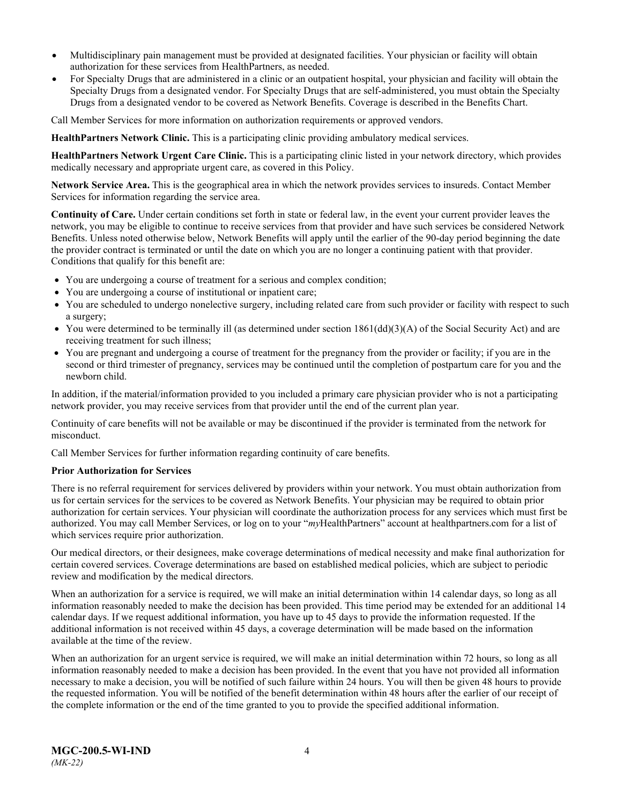- Multidisciplinary pain management must be provided at designated facilities. Your physician or facility will obtain authorization for these services from HealthPartners, as needed.
- For Specialty Drugs that are administered in a clinic or an outpatient hospital, your physician and facility will obtain the Specialty Drugs from a designated vendor. For Specialty Drugs that are self-administered, you must obtain the Specialty Drugs from a designated vendor to be covered as Network Benefits. Coverage is described in the Benefits Chart.

Call Member Services for more information on authorization requirements or approved vendors.

**HealthPartners Network Clinic.** This is a participating clinic providing ambulatory medical services.

**HealthPartners Network Urgent Care Clinic.** This is a participating clinic listed in your network directory, which provides medically necessary and appropriate urgent care, as covered in this Policy.

**Network Service Area.** This is the geographical area in which the network provides services to insureds. Contact Member Services for information regarding the service area.

**Continuity of Care.** Under certain conditions set forth in state or federal law, in the event your current provider leaves the network, you may be eligible to continue to receive services from that provider and have such services be considered Network Benefits. Unless noted otherwise below, Network Benefits will apply until the earlier of the 90-day period beginning the date the provider contract is terminated or until the date on which you are no longer a continuing patient with that provider. Conditions that qualify for this benefit are:

- You are undergoing a course of treatment for a serious and complex condition;
- You are undergoing a course of institutional or inpatient care;
- You are scheduled to undergo nonelective surgery, including related care from such provider or facility with respect to such a surgery;
- You were determined to be terminally ill (as determined under section  $1861(dd)(3)(A)$  of the Social Security Act) and are receiving treatment for such illness;
- You are pregnant and undergoing a course of treatment for the pregnancy from the provider or facility; if you are in the second or third trimester of pregnancy, services may be continued until the completion of postpartum care for you and the newborn child.

In addition, if the material/information provided to you included a primary care physician provider who is not a participating network provider, you may receive services from that provider until the end of the current plan year.

Continuity of care benefits will not be available or may be discontinued if the provider is terminated from the network for misconduct.

Call Member Services for further information regarding continuity of care benefits.

#### **Prior Authorization for Services**

There is no referral requirement for services delivered by providers within your network. You must obtain authorization from us for certain services for the services to be covered as Network Benefits. Your physician may be required to obtain prior authorization for certain services. Your physician will coordinate the authorization process for any services which must first be authorized. You may call Member Services, or log on to your "*my*HealthPartners" account at [healthpartners.com](http://www.healthpartners.com/) for a list of which services require prior authorization.

Our medical directors, or their designees, make coverage determinations of medical necessity and make final authorization for certain covered services. Coverage determinations are based on established medical policies, which are subject to periodic review and modification by the medical directors.

When an authorization for a service is required, we will make an initial determination within 14 calendar days, so long as all information reasonably needed to make the decision has been provided. This time period may be extended for an additional 14 calendar days. If we request additional information, you have up to 45 days to provide the information requested. If the additional information is not received within 45 days, a coverage determination will be made based on the information available at the time of the review.

When an authorization for an urgent service is required, we will make an initial determination within 72 hours, so long as all information reasonably needed to make a decision has been provided. In the event that you have not provided all information necessary to make a decision, you will be notified of such failure within 24 hours. You will then be given 48 hours to provide the requested information. You will be notified of the benefit determination within 48 hours after the earlier of our receipt of the complete information or the end of the time granted to you to provide the specified additional information.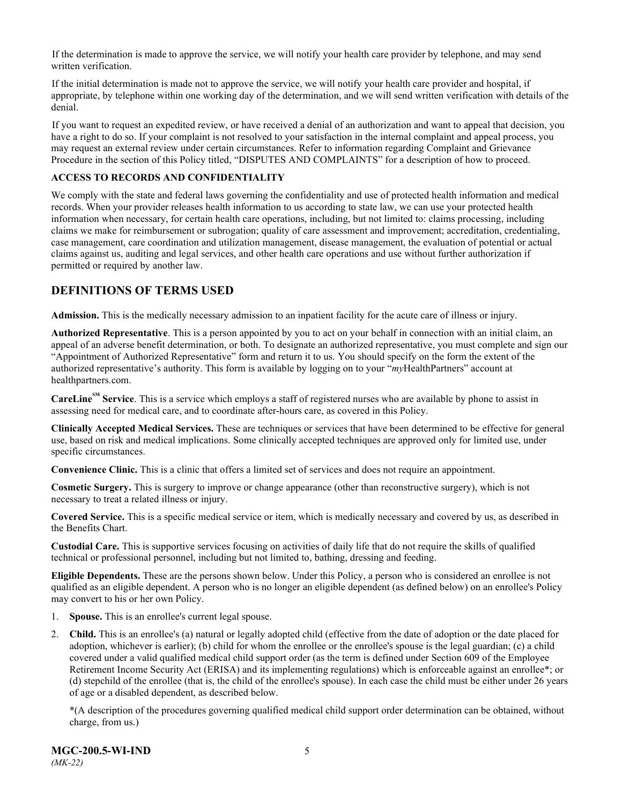If the determination is made to approve the service, we will notify your health care provider by telephone, and may send written verification.

If the initial determination is made not to approve the service, we will notify your health care provider and hospital, if appropriate, by telephone within one working day of the determination, and we will send written verification with details of the denial.

If you want to request an expedited review, or have received a denial of an authorization and want to appeal that decision, you have a right to do so. If your complaint is not resolved to your satisfaction in the internal complaint and appeal process, you may request an external review under certain circumstances. Refer to information regarding Complaint and Grievance Procedure in the section of this Policy titled, "DISPUTES AND COMPLAINTS" for a description of how to proceed.

### <span id="page-7-0"></span>**ACCESS TO RECORDS AND CONFIDENTIALITY**

We comply with the state and federal laws governing the confidentiality and use of protected health information and medical records. When your provider releases health information to us according to state law, we can use your protected health information when necessary, for certain health care operations, including, but not limited to: claims processing, including claims we make for reimbursement or subrogation; quality of care assessment and improvement; accreditation, credentialing, case management, care coordination and utilization management, disease management, the evaluation of potential or actual claims against us, auditing and legal services, and other health care operations and use without further authorization if permitted or required by another law.

### <span id="page-7-1"></span>**DEFINITIONS OF TERMS USED**

**Admission.** This is the medically necessary admission to an inpatient facility for the acute care of illness or injury.

**Authorized Representative**. This is a person appointed by you to act on your behalf in connection with an initial claim, an appeal of an adverse benefit determination, or both. To designate an authorized representative, you must complete and sign our "Appointment of Authorized Representative" form and return it to us. You should specify on the form the extent of the authorized representative's authority. This form is available by logging on to your "*my*HealthPartners" account at [healthpartners.com.](http://www.healthpartners.com/)

**CareLineSM Service**. This is a service which employs a staff of registered nurses who are available by phone to assist in assessing need for medical care, and to coordinate after-hours care, as covered in this Policy.

**Clinically Accepted Medical Services.** These are techniques or services that have been determined to be effective for general use, based on risk and medical implications. Some clinically accepted techniques are approved only for limited use, under specific circumstances.

**Convenience Clinic.** This is a clinic that offers a limited set of services and does not require an appointment.

**Cosmetic Surgery.** This is surgery to improve or change appearance (other than reconstructive surgery), which is not necessary to treat a related illness or injury.

**Covered Service.** This is a specific medical service or item, which is medically necessary and covered by us, as described in the Benefits Chart.

**Custodial Care.** This is supportive services focusing on activities of daily life that do not require the skills of qualified technical or professional personnel, including but not limited to, bathing, dressing and feeding.

**Eligible Dependents.** These are the persons shown below. Under this Policy, a person who is considered an enrollee is not qualified as an eligible dependent. A person who is no longer an eligible dependent (as defined below) on an enrollee's Policy may convert to his or her own Policy.

- 1. **Spouse.** This is an enrollee's current legal spouse.
- 2. **Child.** This is an enrollee's (a) natural or legally adopted child (effective from the date of adoption or the date placed for adoption, whichever is earlier); (b) child for whom the enrollee or the enrollee's spouse is the legal guardian; (c) a child covered under a valid qualified medical child support order (as the term is defined under Section 609 of the Employee Retirement Income Security Act (ERISA) and its implementing regulations) which is enforceable against an enrollee\*; or (d) stepchild of the enrollee (that is, the child of the enrollee's spouse). In each case the child must be either under 26 years of age or a disabled dependent, as described below.

\*(A description of the procedures governing qualified medical child support order determination can be obtained, without charge, from us.)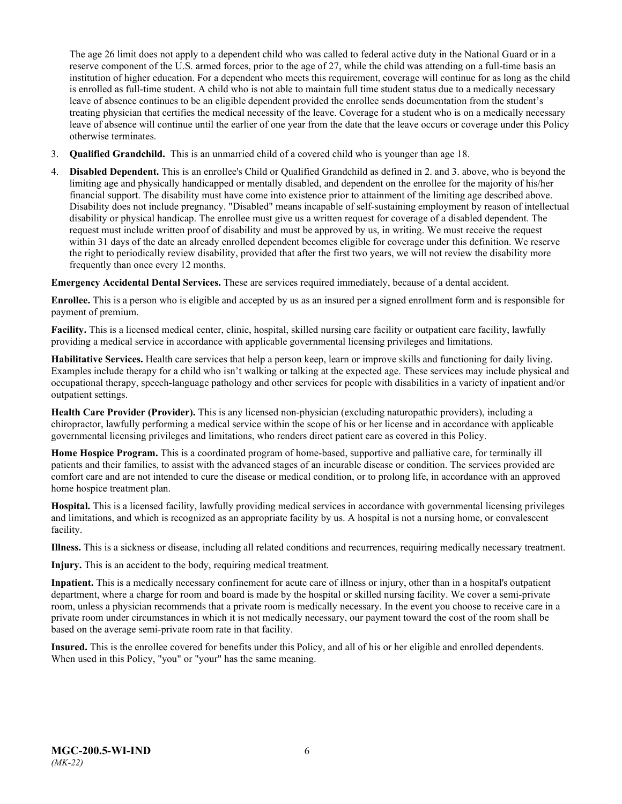The age 26 limit does not apply to a dependent child who was called to federal active duty in the National Guard or in a reserve component of the U.S. armed forces, prior to the age of 27, while the child was attending on a full-time basis an institution of higher education. For a dependent who meets this requirement, coverage will continue for as long as the child is enrolled as full-time student. A child who is not able to maintain full time student status due to a medically necessary leave of absence continues to be an eligible dependent provided the enrollee sends documentation from the student's treating physician that certifies the medical necessity of the leave. Coverage for a student who is on a medically necessary leave of absence will continue until the earlier of one year from the date that the leave occurs or coverage under this Policy otherwise terminates.

- 3. **Qualified Grandchild.** This is an unmarried child of a covered child who is younger than age 18.
- 4. **Disabled Dependent.** This is an enrollee's Child or Qualified Grandchild as defined in 2. and 3. above, who is beyond the limiting age and physically handicapped or mentally disabled, and dependent on the enrollee for the majority of his/her financial support. The disability must have come into existence prior to attainment of the limiting age described above. Disability does not include pregnancy. "Disabled" means incapable of self-sustaining employment by reason of intellectual disability or physical handicap. The enrollee must give us a written request for coverage of a disabled dependent. The request must include written proof of disability and must be approved by us, in writing. We must receive the request within 31 days of the date an already enrolled dependent becomes eligible for coverage under this definition. We reserve the right to periodically review disability, provided that after the first two years, we will not review the disability more frequently than once every 12 months.

**Emergency Accidental Dental Services.** These are services required immediately, because of a dental accident.

**Enrollee.** This is a person who is eligible and accepted by us as an insured per a signed enrollment form and is responsible for payment of premium.

**Facility.** This is a licensed medical center, clinic, hospital, skilled nursing care facility or outpatient care facility, lawfully providing a medical service in accordance with applicable governmental licensing privileges and limitations.

**Habilitative Services.** Health care services that help a person keep, learn or improve skills and functioning for daily living. Examples include therapy for a child who isn't walking or talking at the expected age. These services may include physical and occupational therapy, speech-language pathology and other services for people with disabilities in a variety of inpatient and/or outpatient settings.

**Health Care Provider (Provider).** This is any licensed non-physician (excluding naturopathic providers), including a chiropractor, lawfully performing a medical service within the scope of his or her license and in accordance with applicable governmental licensing privileges and limitations, who renders direct patient care as covered in this Policy.

**Home Hospice Program.** This is a coordinated program of home-based, supportive and palliative care, for terminally ill patients and their families, to assist with the advanced stages of an incurable disease or condition. The services provided are comfort care and are not intended to cure the disease or medical condition, or to prolong life, in accordance with an approved home hospice treatment plan.

**Hospital.** This is a licensed facility, lawfully providing medical services in accordance with governmental licensing privileges and limitations, and which is recognized as an appropriate facility by us. A hospital is not a nursing home, or convalescent facility.

**Illness.** This is a sickness or disease, including all related conditions and recurrences, requiring medically necessary treatment.

**Injury.** This is an accident to the body, requiring medical treatment.

**Inpatient.** This is a medically necessary confinement for acute care of illness or injury, other than in a hospital's outpatient department, where a charge for room and board is made by the hospital or skilled nursing facility. We cover a semi-private room, unless a physician recommends that a private room is medically necessary. In the event you choose to receive care in a private room under circumstances in which it is not medically necessary, our payment toward the cost of the room shall be based on the average semi-private room rate in that facility.

**Insured.** This is the enrollee covered for benefits under this Policy, and all of his or her eligible and enrolled dependents. When used in this Policy, "you" or "your" has the same meaning.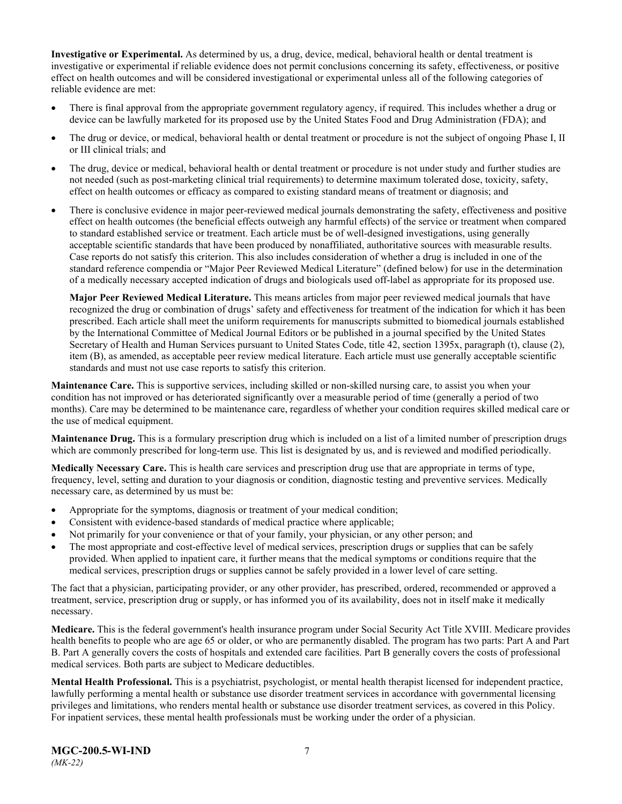**Investigative or Experimental.** As determined by us, a drug, device, medical, behavioral health or dental treatment is investigative or experimental if reliable evidence does not permit conclusions concerning its safety, effectiveness, or positive effect on health outcomes and will be considered investigational or experimental unless all of the following categories of reliable evidence are met:

- There is final approval from the appropriate government regulatory agency, if required. This includes whether a drug or device can be lawfully marketed for its proposed use by the United States Food and Drug Administration (FDA); and
- The drug or device, or medical, behavioral health or dental treatment or procedure is not the subject of ongoing Phase I, II or III clinical trials; and
- The drug, device or medical, behavioral health or dental treatment or procedure is not under study and further studies are not needed (such as post-marketing clinical trial requirements) to determine maximum tolerated dose, toxicity, safety, effect on health outcomes or efficacy as compared to existing standard means of treatment or diagnosis; and
- There is conclusive evidence in major peer-reviewed medical journals demonstrating the safety, effectiveness and positive effect on health outcomes (the beneficial effects outweigh any harmful effects) of the service or treatment when compared to standard established service or treatment. Each article must be of well-designed investigations, using generally acceptable scientific standards that have been produced by nonaffiliated, authoritative sources with measurable results. Case reports do not satisfy this criterion. This also includes consideration of whether a drug is included in one of the standard reference compendia or "Major Peer Reviewed Medical Literature" (defined below) for use in the determination of a medically necessary accepted indication of drugs and biologicals used off-label as appropriate for its proposed use.

**Major Peer Reviewed Medical Literature.** This means articles from major peer reviewed medical journals that have recognized the drug or combination of drugs' safety and effectiveness for treatment of the indication for which it has been prescribed. Each article shall meet the uniform requirements for manuscripts submitted to biomedical journals established by the International Committee of Medical Journal Editors or be published in a journal specified by the United States Secretary of Health and Human Services pursuant to United States Code, title 42, section 1395x, paragraph (t), clause (2), item (B), as amended, as acceptable peer review medical literature. Each article must use generally acceptable scientific standards and must not use case reports to satisfy this criterion.

**Maintenance Care.** This is supportive services, including skilled or non-skilled nursing care, to assist you when your condition has not improved or has deteriorated significantly over a measurable period of time (generally a period of two months). Care may be determined to be maintenance care, regardless of whether your condition requires skilled medical care or the use of medical equipment.

**Maintenance Drug.** This is a formulary prescription drug which is included on a list of a limited number of prescription drugs which are commonly prescribed for long-term use. This list is designated by us, and is reviewed and modified periodically.

**Medically Necessary Care.** This is health care services and prescription drug use that are appropriate in terms of type, frequency, level, setting and duration to your diagnosis or condition, diagnostic testing and preventive services. Medically necessary care, as determined by us must be:

- Appropriate for the symptoms, diagnosis or treatment of your medical condition;
- Consistent with evidence-based standards of medical practice where applicable;
- Not primarily for your convenience or that of your family, your physician, or any other person; and
- The most appropriate and cost-effective level of medical services, prescription drugs or supplies that can be safely provided. When applied to inpatient care, it further means that the medical symptoms or conditions require that the medical services, prescription drugs or supplies cannot be safely provided in a lower level of care setting.

The fact that a physician, participating provider, or any other provider, has prescribed, ordered, recommended or approved a treatment, service, prescription drug or supply, or has informed you of its availability, does not in itself make it medically necessary.

**Medicare.** This is the federal government's health insurance program under Social Security Act Title XVIII. Medicare provides health benefits to people who are age 65 or older, or who are permanently disabled. The program has two parts: Part A and Part B. Part A generally covers the costs of hospitals and extended care facilities. Part B generally covers the costs of professional medical services. Both parts are subject to Medicare deductibles.

**Mental Health Professional.** This is a psychiatrist, psychologist, or mental health therapist licensed for independent practice, lawfully performing a mental health or substance use disorder treatment services in accordance with governmental licensing privileges and limitations, who renders mental health or substance use disorder treatment services, as covered in this Policy. For inpatient services, these mental health professionals must be working under the order of a physician.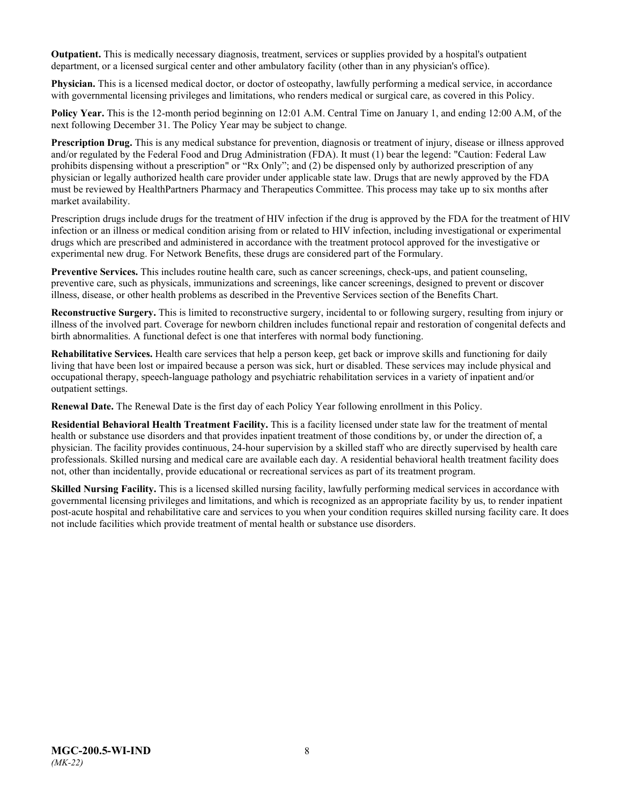**Outpatient.** This is medically necessary diagnosis, treatment, services or supplies provided by a hospital's outpatient department, or a licensed surgical center and other ambulatory facility (other than in any physician's office).

**Physician.** This is a licensed medical doctor, or doctor of osteopathy, lawfully performing a medical service, in accordance with governmental licensing privileges and limitations, who renders medical or surgical care, as covered in this Policy.

**Policy Year.** This is the 12-month period beginning on 12:01 A.M. Central Time on January 1, and ending 12:00 A.M, of the next following December 31. The Policy Year may be subject to change.

**Prescription Drug.** This is any medical substance for prevention, diagnosis or treatment of injury, disease or illness approved and/or regulated by the Federal Food and Drug Administration (FDA). It must (1) bear the legend: "Caution: Federal Law prohibits dispensing without a prescription" or "Rx Only"; and (2) be dispensed only by authorized prescription of any physician or legally authorized health care provider under applicable state law. Drugs that are newly approved by the FDA must be reviewed by HealthPartners Pharmacy and Therapeutics Committee. This process may take up to six months after market availability.

Prescription drugs include drugs for the treatment of HIV infection if the drug is approved by the FDA for the treatment of HIV infection or an illness or medical condition arising from or related to HIV infection, including investigational or experimental drugs which are prescribed and administered in accordance with the treatment protocol approved for the investigative or experimental new drug. For Network Benefits, these drugs are considered part of the Formulary.

**[Preventive Services.](http://obamacarefacts.com/obamacare-preventive-care/)** This includes routine health care, such as cancer screenings, check-ups, and patient counseling, preventive care, such as physicals, immunizations and screenings, like cancer screenings, designed to prevent or discover illness, disease, or other health problems as described in the Preventive Services section of the Benefits Chart.

**Reconstructive Surgery.** This is limited to reconstructive surgery, incidental to or following surgery, resulting from injury or illness of the involved part. Coverage for newborn children includes functional repair and restoration of congenital defects and birth abnormalities. A functional defect is one that interferes with normal body functioning.

**Rehabilitative Services.** Health care services that help a person keep, get back or improve skills and functioning for daily living that have been lost or impaired because a person was sick, hurt or disabled. These services may include physical and occupational therapy, speech-language pathology and psychiatric rehabilitation services in a variety of inpatient and/or outpatient settings.

**Renewal Date.** The Renewal Date is the first day of each Policy Year following enrollment in this Policy.

**Residential Behavioral Health Treatment Facility.** This is a facility licensed under state law for the treatment of mental health or substance use disorders and that provides inpatient treatment of those conditions by, or under the direction of, a physician. The facility provides continuous, 24-hour supervision by a skilled staff who are directly supervised by health care professionals. Skilled nursing and medical care are available each day. A residential behavioral health treatment facility does not, other than incidentally, provide educational or recreational services as part of its treatment program.

**Skilled Nursing Facility.** This is a licensed skilled nursing facility, lawfully performing medical services in accordance with governmental licensing privileges and limitations, and which is recognized as an appropriate facility by us, to render inpatient post-acute hospital and rehabilitative care and services to you when your condition requires skilled nursing facility care. It does not include facilities which provide treatment of mental health or substance use disorders.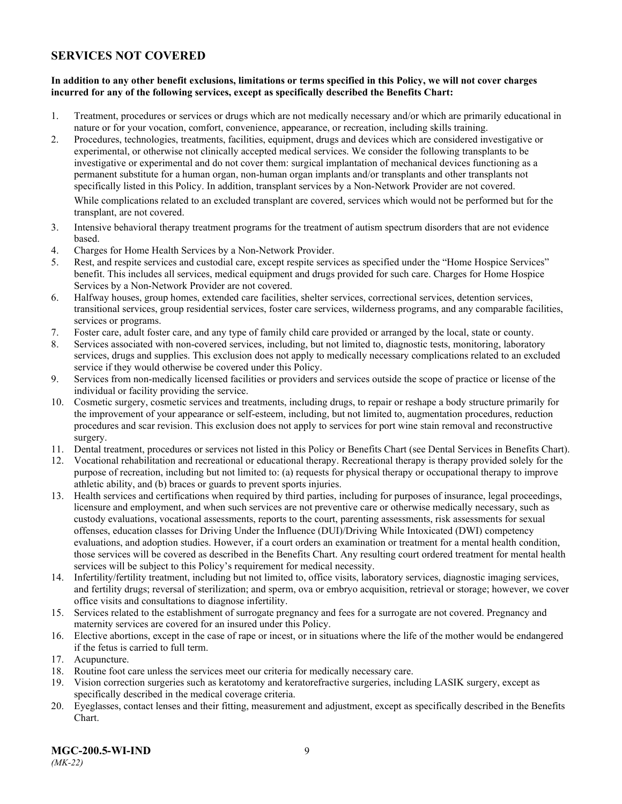### <span id="page-11-0"></span>**SERVICES NOT COVERED**

### **In addition to any other benefit exclusions, limitations or terms specified in this Policy, we will not cover charges incurred for any of the following services, except as specifically described the Benefits Chart:**

- 1. Treatment, procedures or services or drugs which are not medically necessary and/or which are primarily educational in nature or for your vocation, comfort, convenience, appearance, or recreation, including skills training.
- 2. Procedures, technologies, treatments, facilities, equipment, drugs and devices which are considered investigative or experimental, or otherwise not clinically accepted medical services. We consider the following transplants to be investigative or experimental and do not cover them: surgical implantation of mechanical devices functioning as a permanent substitute for a human organ, non-human organ implants and/or transplants and other transplants not specifically listed in this Policy. In addition, transplant services by a Non-Network Provider are not covered.

While complications related to an excluded transplant are covered, services which would not be performed but for the transplant, are not covered.

- 3. Intensive behavioral therapy treatment programs for the treatment of autism spectrum disorders that are not evidence based.
- 4. Charges for Home Health Services by a Non-Network Provider.
- 5. Rest, and respite services and custodial care, except respite services as specified under the "Home Hospice Services" benefit. This includes all services, medical equipment and drugs provided for such care. Charges for Home Hospice Services by a Non-Network Provider are not covered.
- 6. Halfway houses, group homes, extended care facilities, shelter services, correctional services, detention services, transitional services, group residential services, foster care services, wilderness programs, and any comparable facilities, services or programs.
- 7. Foster care, adult foster care, and any type of family child care provided or arranged by the local, state or county.
- 8. Services associated with non-covered services, including, but not limited to, diagnostic tests, monitoring, laboratory services, drugs and supplies. This exclusion does not apply to medically necessary complications related to an excluded service if they would otherwise be covered under this Policy.
- 9. Services from non-medically licensed facilities or providers and services outside the scope of practice or license of the individual or facility providing the service.
- 10. Cosmetic surgery, cosmetic services and treatments, including drugs, to repair or reshape a body structure primarily for the improvement of your appearance or self-esteem, including, but not limited to, augmentation procedures, reduction procedures and scar revision. This exclusion does not apply to services for port wine stain removal and reconstructive surgery.
- 11. Dental treatment, procedures or services not listed in this Policy or Benefits Chart (see Dental Services in Benefits Chart).
- 12. Vocational rehabilitation and recreational or educational therapy. Recreational therapy is therapy provided solely for the purpose of recreation, including but not limited to: (a) requests for physical therapy or occupational therapy to improve athletic ability, and (b) braces or guards to prevent sports injuries.
- 13. Health services and certifications when required by third parties, including for purposes of insurance, legal proceedings, licensure and employment, and when such services are not preventive care or otherwise medically necessary, such as custody evaluations, vocational assessments, reports to the court, parenting assessments, risk assessments for sexual offenses, education classes for Driving Under the Influence (DUI)/Driving While Intoxicated (DWI) competency evaluations, and adoption studies. However, if a court orders an examination or treatment for a mental health condition, those services will be covered as described in the Benefits Chart. Any resulting court ordered treatment for mental health services will be subject to this Policy's requirement for medical necessity.
- 14. Infertility/fertility treatment, including but not limited to, office visits, laboratory services, diagnostic imaging services, and fertility drugs; reversal of sterilization; and sperm, ova or embryo acquisition, retrieval or storage; however, we cover office visits and consultations to diagnose infertility.
- 15. Services related to the establishment of surrogate pregnancy and fees for a surrogate are not covered. Pregnancy and maternity services are covered for an insured under this Policy.
- 16. Elective abortions, except in the case of rape or incest, or in situations where the life of the mother would be endangered if the fetus is carried to full term.
- 17. Acupuncture.
- 18. Routine foot care unless the services meet our criteria for medically necessary care.
- 19. Vision correction surgeries such as keratotomy and keratorefractive surgeries, including LASIK surgery, except as specifically described in the medical coverage criteria.
- 20. Eyeglasses, contact lenses and their fitting, measurement and adjustment, except as specifically described in the Benefits Chart.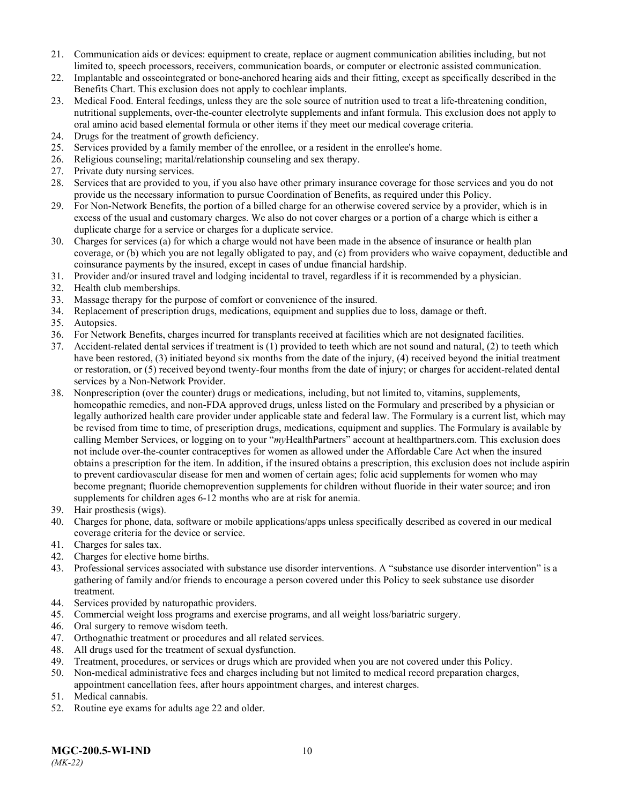- 21. Communication aids or devices: equipment to create, replace or augment communication abilities including, but not limited to, speech processors, receivers, communication boards, or computer or electronic assisted communication.
- 22. Implantable and osseointegrated or bone-anchored hearing aids and their fitting, except as specifically described in the Benefits Chart. This exclusion does not apply to cochlear implants.
- 23. Medical Food. Enteral feedings, unless they are the sole source of nutrition used to treat a life-threatening condition, nutritional supplements, over-the-counter electrolyte supplements and infant formula. This exclusion does not apply to oral amino acid based elemental formula or other items if they meet our medical coverage criteria.
- 24. Drugs for the treatment of growth deficiency.
- 25. Services provided by a family member of the enrollee, or a resident in the enrollee's home.
- 26. Religious counseling; marital/relationship counseling and sex therapy.
- 27. Private duty nursing services.
- 28. Services that are provided to you, if you also have other primary insurance coverage for those services and you do not provide us the necessary information to pursue Coordination of Benefits, as required under this Policy.
- 29. For Non-Network Benefits, the portion of a billed charge for an otherwise covered service by a provider, which is in excess of the usual and customary charges. We also do not cover charges or a portion of a charge which is either a duplicate charge for a service or charges for a duplicate service.
- 30. Charges for services (a) for which a charge would not have been made in the absence of insurance or health plan coverage, or (b) which you are not legally obligated to pay, and (c) from providers who waive copayment, deductible and coinsurance payments by the insured, except in cases of undue financial hardship.
- 31. Provider and/or insured travel and lodging incidental to travel, regardless if it is recommended by a physician.
- 32. Health club memberships.
- 33. Massage therapy for the purpose of comfort or convenience of the insured.
- 34. Replacement of prescription drugs, medications, equipment and supplies due to loss, damage or theft.
- 35. Autopsies.
- 36. For Network Benefits, charges incurred for transplants received at facilities which are not designated facilities.
- 37. Accident-related dental services if treatment is (1) provided to teeth which are not sound and natural, (2) to teeth which have been restored, (3) initiated beyond six months from the date of the injury, (4) received beyond the initial treatment or restoration, or (5) received beyond twenty-four months from the date of injury; or charges for accident-related dental services by a Non-Network Provider.
- 38. Nonprescription (over the counter) drugs or medications, including, but not limited to, vitamins, supplements, homeopathic remedies, and non-FDA approved drugs, unless listed on the Formulary and prescribed by a physician or legally authorized health care provider under applicable state and federal law. The Formulary is a current list, which may be revised from time to time, of prescription drugs, medications, equipment and supplies. The Formulary is available by calling Member Services, or logging on to your "*my*HealthPartners" account at [healthpartners.com.](http://www.healthpartners.com/) This exclusion does not include over-the-counter contraceptives for women as allowed under the Affordable Care Act when the insured obtains a prescription for the item. In addition, if the insured obtains a prescription, this exclusion does not include aspirin to prevent cardiovascular disease for men and women of certain ages; folic acid supplements for women who may become pregnant; fluoride chemoprevention supplements for children without fluoride in their water source; and iron supplements for children ages 6-12 months who are at risk for anemia.
- 39. Hair prosthesis (wigs).
- 40. Charges for phone, data, software or mobile applications/apps unless specifically described as covered in our medical coverage criteria for the device or service.
- 41. Charges for sales tax.
- 42. Charges for elective home births.
- 43. Professional services associated with substance use disorder interventions. A "substance use disorder intervention" is a gathering of family and/or friends to encourage a person covered under this Policy to seek substance use disorder treatment.
- 44. Services provided by naturopathic providers.
- 45. Commercial weight loss programs and exercise programs, and all weight loss/bariatric surgery.
- 46. Oral surgery to remove wisdom teeth.
- 47. Orthognathic treatment or procedures and all related services.
- 48. All drugs used for the treatment of sexual dysfunction.
- 49. Treatment, procedures, or services or drugs which are provided when you are not covered under this Policy.
- 50. Non-medical administrative fees and charges including but not limited to medical record preparation charges, appointment cancellation fees, after hours appointment charges, and interest charges.
- 51. Medical cannabis.
- 52. Routine eye exams for adults age 22 and older.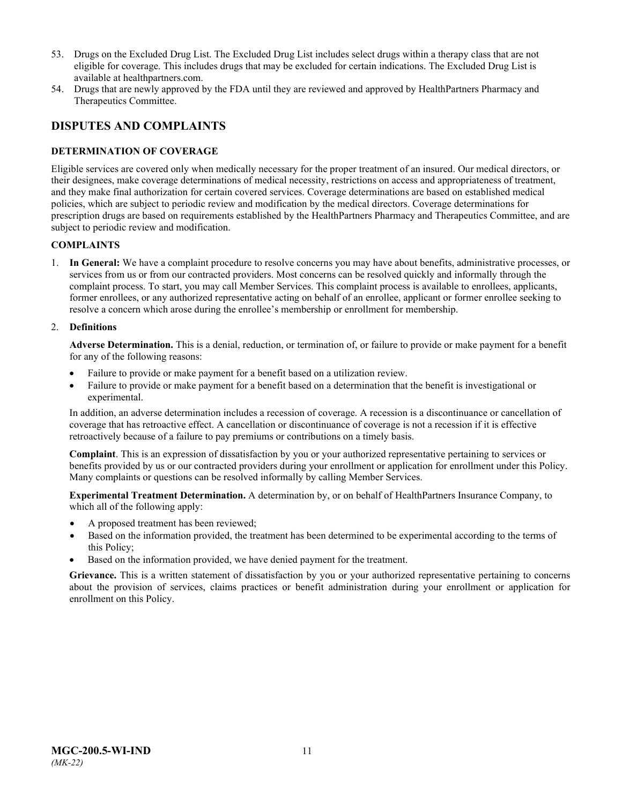- 53. Drugs on the Excluded Drug List. The Excluded Drug List includes select drugs within a therapy class that are not eligible for coverage. This includes drugs that may be excluded for certain indications. The Excluded Drug List is available at healthpartners.com.
- 54. Drugs that are newly approved by the FDA until they are reviewed and approved by HealthPartners Pharmacy and Therapeutics Committee.

### <span id="page-13-0"></span>**DISPUTES AND COMPLAINTS**

### <span id="page-13-1"></span>**DETERMINATION OF COVERAGE**

Eligible services are covered only when medically necessary for the proper treatment of an insured. Our medical directors, or their designees, make coverage determinations of medical necessity, restrictions on access and appropriateness of treatment, and they make final authorization for certain covered services. Coverage determinations are based on established medical policies, which are subject to periodic review and modification by the medical directors. Coverage determinations for prescription drugs are based on requirements established by the HealthPartners Pharmacy and Therapeutics Committee, and are subject to periodic review and modification.

### **COMPLAINTS**

1. **In General:** We have a complaint procedure to resolve concerns you may have about benefits, administrative processes, or services from us or from our contracted providers. Most concerns can be resolved quickly and informally through the complaint process. To start, you may call Member Services. This complaint process is available to enrollees, applicants, former enrollees, or any authorized representative acting on behalf of an enrollee, applicant or former enrollee seeking to resolve a concern which arose during the enrollee's membership or enrollment for membership.

### 2. **Definitions**

**Adverse Determination.** This is a denial, reduction, or termination of, or failure to provide or make payment for a benefit for any of the following reasons:

- Failure to provide or make payment for a benefit based on a utilization review.
- Failure to provide or make payment for a benefit based on a determination that the benefit is investigational or experimental.

In addition, an adverse determination includes a recession of coverage. A recession is a discontinuance or cancellation of coverage that has retroactive effect. A cancellation or discontinuance of coverage is not a recession if it is effective retroactively because of a failure to pay premiums or contributions on a timely basis.

**Complaint**. This is an expression of dissatisfaction by you or your authorized representative pertaining to services or benefits provided by us or our contracted providers during your enrollment or application for enrollment under this Policy. Many complaints or questions can be resolved informally by calling Member Services.

**Experimental Treatment Determination.** A determination by, or on behalf of HealthPartners Insurance Company, to which all of the following apply:

- A proposed treatment has been reviewed;
- Based on the information provided, the treatment has been determined to be experimental according to the terms of this Policy;
- Based on the information provided, we have denied payment for the treatment.

**Grievance.** This is a written statement of dissatisfaction by you or your authorized representative pertaining to concerns about the provision of services, claims practices or benefit administration during your enrollment or application for enrollment on this Policy.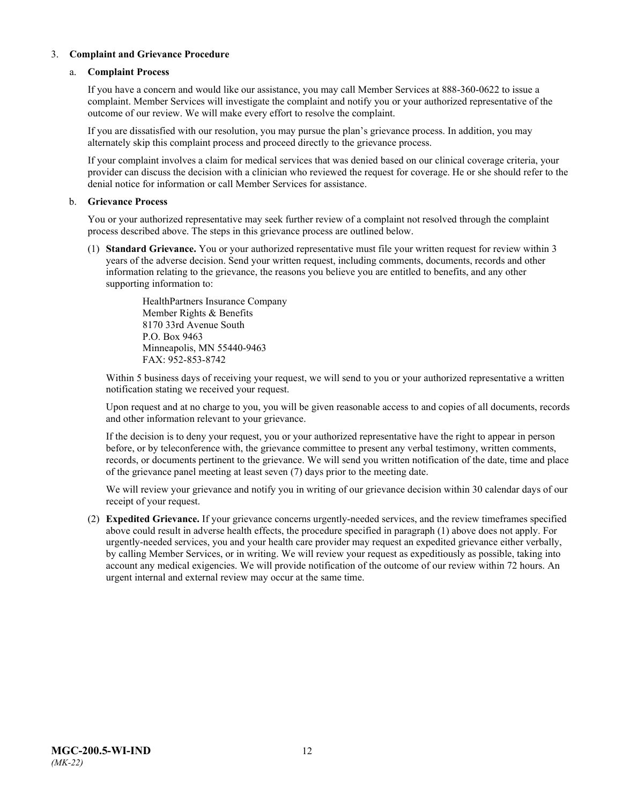### 3. **Complaint and Grievance Procedure**

### a. **Complaint Process**

If you have a concern and would like our assistance, you may call Member Services at 888-360-0622 to issue a complaint. Member Services will investigate the complaint and notify you or your authorized representative of the outcome of our review. We will make every effort to resolve the complaint.

If you are dissatisfied with our resolution, you may pursue the plan's grievance process. In addition, you may alternately skip this complaint process and proceed directly to the grievance process.

If your complaint involves a claim for medical services that was denied based on our clinical coverage criteria, your provider can discuss the decision with a clinician who reviewed the request for coverage. He or she should refer to the denial notice for information or call Member Services for assistance.

### b. **Grievance Process**

You or your authorized representative may seek further review of a complaint not resolved through the complaint process described above. The steps in this grievance process are outlined below.

(1) **Standard Grievance.** You or your authorized representative must file your written request for review within 3 years of the adverse decision. Send your written request, including comments, documents, records and other information relating to the grievance, the reasons you believe you are entitled to benefits, and any other supporting information to:

> HealthPartners Insurance Company Member Rights & Benefits 8170 33rd Avenue South P.O. Box 9463 Minneapolis, MN 55440-9463 FAX: 952-853-8742

Within 5 business days of receiving your request, we will send to you or your authorized representative a written notification stating we received your request.

Upon request and at no charge to you, you will be given reasonable access to and copies of all documents, records and other information relevant to your grievance.

If the decision is to deny your request, you or your authorized representative have the right to appear in person before, or by teleconference with, the grievance committee to present any verbal testimony, written comments, records, or documents pertinent to the grievance. We will send you written notification of the date, time and place of the grievance panel meeting at least seven (7) days prior to the meeting date.

We will review your grievance and notify you in writing of our grievance decision within 30 calendar days of our receipt of your request.

(2) **Expedited Grievance.** If your grievance concerns urgently-needed services, and the review timeframes specified above could result in adverse health effects, the procedure specified in paragraph (1) above does not apply. For urgently-needed services, you and your health care provider may request an expedited grievance either verbally, by calling Member Services, or in writing. We will review your request as expeditiously as possible, taking into account any medical exigencies. We will provide notification of the outcome of our review within 72 hours. An urgent internal and external review may occur at the same time.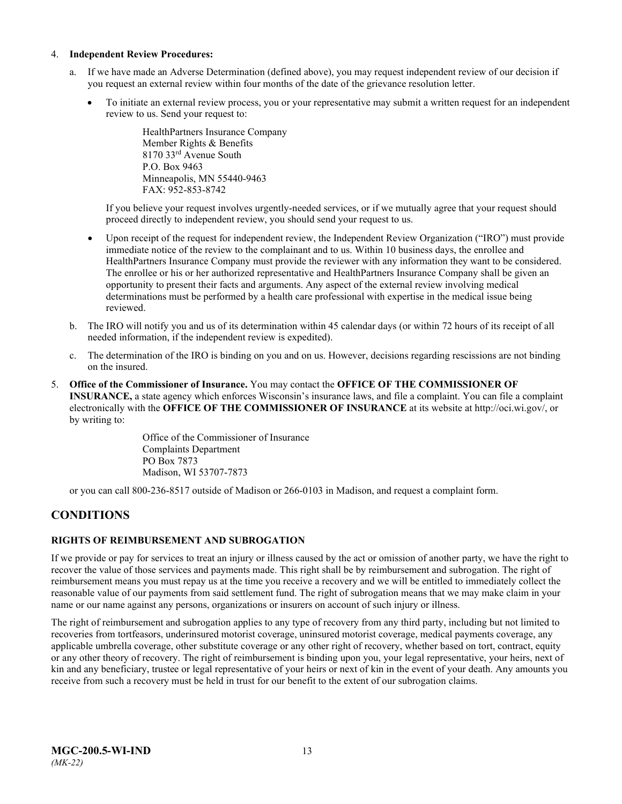#### 4. **Independent Review Procedures:**

- a. If we have made an Adverse Determination (defined above), you may request independent review of our decision if you request an external review within four months of the date of the grievance resolution letter.
	- To initiate an external review process, you or your representative may submit a written request for an independent review to us. Send your request to:

HealthPartners Insurance Company Member Rights & Benefits 8170 33rd Avenue South P.O. Box 9463 Minneapolis, MN 55440-9463 FAX: 952-853-8742

If you believe your request involves urgently-needed services, or if we mutually agree that your request should proceed directly to independent review, you should send your request to us.

- Upon receipt of the request for independent review, the Independent Review Organization ("IRO") must provide immediate notice of the review to the complainant and to us. Within 10 business days, the enrollee and HealthPartners Insurance Company must provide the reviewer with any information they want to be considered. The enrollee or his or her authorized representative and HealthPartners Insurance Company shall be given an opportunity to present their facts and arguments. Any aspect of the external review involving medical determinations must be performed by a health care professional with expertise in the medical issue being reviewed.
- b. The IRO will notify you and us of its determination within 45 calendar days (or within 72 hours of its receipt of all needed information, if the independent review is expedited).
- c. The determination of the IRO is binding on you and on us. However, decisions regarding rescissions are not binding on the insured.
- 5. **Office of the Commissioner of Insurance.** You may contact the **OFFICE OF THE COMMISSIONER OF INSURANCE,** a state agency which enforces Wisconsin's insurance laws, and file a complaint. You can file a complaint electronically with the **OFFICE OF THE COMMISSIONER OF INSURANCE** at its website at http://oci.wi.gov/, or by writing to:

Office of the Commissioner of Insurance Complaints Department PO Box 7873 Madison, WI 53707-7873

or you can call 800-236-8517 outside of Madison or 266-0103 in Madison, and request a complaint form.

### <span id="page-15-0"></span>**CONDITIONS**

### <span id="page-15-1"></span>**RIGHTS OF REIMBURSEMENT AND SUBROGATION**

If we provide or pay for services to treat an injury or illness caused by the act or omission of another party, we have the right to recover the value of those services and payments made. This right shall be by reimbursement and subrogation. The right of reimbursement means you must repay us at the time you receive a recovery and we will be entitled to immediately collect the reasonable value of our payments from said settlement fund. The right of subrogation means that we may make claim in your name or our name against any persons, organizations or insurers on account of such injury or illness.

The right of reimbursement and subrogation applies to any type of recovery from any third party, including but not limited to recoveries from tortfeasors, underinsured motorist coverage, uninsured motorist coverage, medical payments coverage, any applicable umbrella coverage, other substitute coverage or any other right of recovery, whether based on tort, contract, equity or any other theory of recovery. The right of reimbursement is binding upon you, your legal representative, your heirs, next of kin and any beneficiary, trustee or legal representative of your heirs or next of kin in the event of your death. Any amounts you receive from such a recovery must be held in trust for our benefit to the extent of our subrogation claims.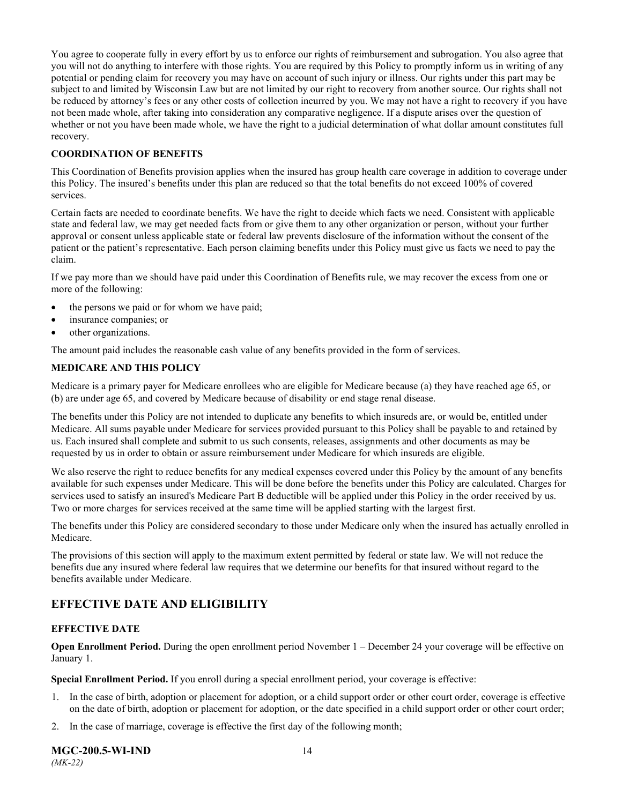You agree to cooperate fully in every effort by us to enforce our rights of reimbursement and subrogation. You also agree that you will not do anything to interfere with those rights. You are required by this Policy to promptly inform us in writing of any potential or pending claim for recovery you may have on account of such injury or illness. Our rights under this part may be subject to and limited by Wisconsin Law but are not limited by our right to recovery from another source. Our rights shall not be reduced by attorney's fees or any other costs of collection incurred by you. We may not have a right to recovery if you have not been made whole, after taking into consideration any comparative negligence. If a dispute arises over the question of whether or not you have been made whole, we have the right to a judicial determination of what dollar amount constitutes full recovery.

### **COORDINATION OF BENEFITS**

This Coordination of Benefits provision applies when the insured has group health care coverage in addition to coverage under this Policy. The insured's benefits under this plan are reduced so that the total benefits do not exceed 100% of covered services.

Certain facts are needed to coordinate benefits. We have the right to decide which facts we need. Consistent with applicable state and federal law, we may get needed facts from or give them to any other organization or person, without your further approval or consent unless applicable state or federal law prevents disclosure of the information without the consent of the patient or the patient's representative. Each person claiming benefits under this Policy must give us facts we need to pay the claim.

If we pay more than we should have paid under this Coordination of Benefits rule, we may recover the excess from one or more of the following:

- the persons we paid or for whom we have paid;
- insurance companies; or
- other organizations.

The amount paid includes the reasonable cash value of any benefits provided in the form of services.

### **MEDICARE AND THIS POLICY**

Medicare is a primary payer for Medicare enrollees who are eligible for Medicare because (a) they have reached age 65, or (b) are under age 65, and covered by Medicare because of disability or end stage renal disease.

The benefits under this Policy are not intended to duplicate any benefits to which insureds are, or would be, entitled under Medicare. All sums payable under Medicare for services provided pursuant to this Policy shall be payable to and retained by us. Each insured shall complete and submit to us such consents, releases, assignments and other documents as may be requested by us in order to obtain or assure reimbursement under Medicare for which insureds are eligible.

We also reserve the right to reduce benefits for any medical expenses covered under this Policy by the amount of any benefits available for such expenses under Medicare. This will be done before the benefits under this Policy are calculated. Charges for services used to satisfy an insured's Medicare Part B deductible will be applied under this Policy in the order received by us. Two or more charges for services received at the same time will be applied starting with the largest first.

The benefits under this Policy are considered secondary to those under Medicare only when the insured has actually enrolled in Medicare.

The provisions of this section will apply to the maximum extent permitted by federal or state law. We will not reduce the benefits due any insured where federal law requires that we determine our benefits for that insured without regard to the benefits available under Medicare.

### <span id="page-16-0"></span>**EFFECTIVE DATE AND ELIGIBILITY**

### <span id="page-16-1"></span>**EFFECTIVE DATE**

**Open Enrollment Period.** During the open enrollment period November 1 – December 24 your coverage will be effective on January 1.

**Special Enrollment Period.** If you enroll during a special enrollment period, your coverage is effective:

- 1. In the case of birth, adoption or placement for adoption, or a child support order or other court order, coverage is effective on the date of birth, adoption or placement for adoption, or the date specified in a child support order or other court order;
- 2. In the case of marriage, coverage is effective the first day of the following month;

**MGC-200.5-WI-IND** 14 *(MK-22)*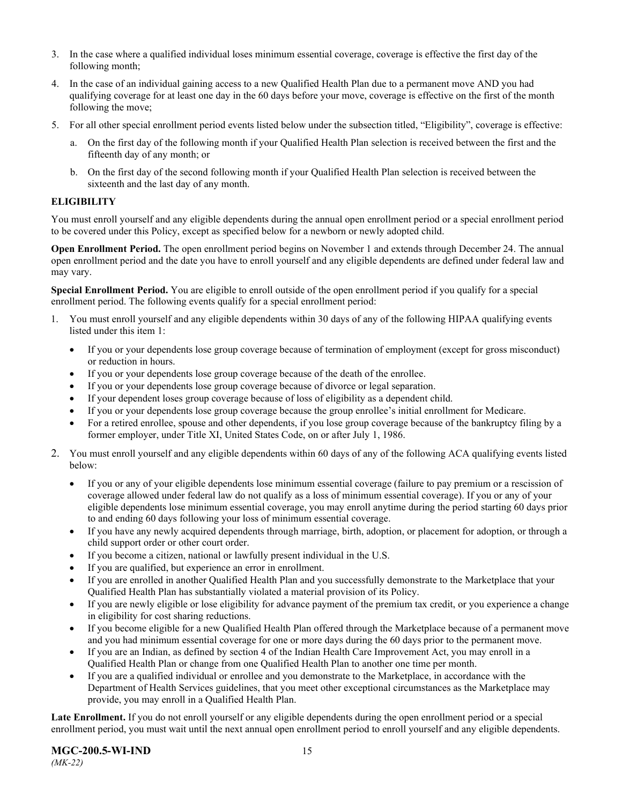- 3. In the case where a qualified individual loses minimum essential coverage, coverage is effective the first day of the following month;
- 4. In the case of an individual gaining access to a new Qualified Health Plan due to a permanent move AND you had qualifying coverage for at least one day in the 60 days before your move, coverage is effective on the first of the month following the move;
- 5. For all other special enrollment period events listed below under the subsection titled, "Eligibility", coverage is effective:
	- a. On the first day of the following month if your Qualified Health Plan selection is received between the first and the fifteenth day of any month; or
	- b. On the first day of the second following month if your Qualified Health Plan selection is received between the sixteenth and the last day of any month.

### <span id="page-17-0"></span>**ELIGIBILITY**

You must enroll yourself and any eligible dependents during the annual open enrollment period or a special enrollment period to be covered under this Policy, except as specified below for a newborn or newly adopted child.

**Open Enrollment Period.** The open enrollment period begins on November 1 and extends through December 24. The annual open enrollment period and the date you have to enroll yourself and any eligible dependents are defined under federal law and may vary.

**Special Enrollment Period.** You are eligible to enroll outside of the open enrollment period if you qualify for a special enrollment period. The following events qualify for a special enrollment period:

- 1. You must enroll yourself and any eligible dependents within 30 days of any of the following HIPAA qualifying events listed under this item 1:
	- If you or your dependents lose group coverage because of termination of employment (except for gross misconduct) or reduction in hours.
	- If you or your dependents lose group coverage because of the death of the enrollee.
	- If you or your dependents lose group coverage because of divorce or legal separation.
	- If your dependent loses group coverage because of loss of eligibility as a dependent child.
	- If you or your dependents lose group coverage because the group enrollee's initial enrollment for Medicare.
	- For a retired enrollee, spouse and other dependents, if you lose group coverage because of the bankruptcy filing by a former employer, under Title XI, United States Code, on or after July 1, 1986.
- 2. You must enroll yourself and any eligible dependents within 60 days of any of the following ACA qualifying events listed below:
	- If you or any of your eligible dependents lose minimum essential coverage (failure to pay premium or a rescission of coverage allowed under federal law do not qualify as a loss of minimum essential coverage). If you or any of your eligible dependents lose minimum essential coverage, you may enroll anytime during the period starting 60 days prior to and ending 60 days following your loss of minimum essential coverage.
	- If you have any newly acquired dependents through marriage, birth, adoption, or placement for adoption, or through a child support order or other court order.
	- If you become a citizen, national or lawfully present individual in the U.S.
	- If you are qualified, but experience an error in enrollment.
	- If you are enrolled in another Qualified Health Plan and you successfully demonstrate to the Marketplace that your Qualified Health Plan has substantially violated a material provision of its Policy.
	- If you are newly eligible or lose eligibility for advance payment of the premium tax credit, or you experience a change in eligibility for cost sharing reductions.
	- If you become eligible for a new Qualified Health Plan offered through the Marketplace because of a permanent move and you had minimum essential coverage for one or more days during the 60 days prior to the permanent move.
	- If you are an Indian, as defined by section 4 of the Indian Health Care Improvement Act, you may enroll in a Qualified Health Plan or change from one Qualified Health Plan to another one time per month.
	- If you are a qualified individual or enrollee and you demonstrate to the Marketplace, in accordance with the Department of Health Services guidelines, that you meet other exceptional circumstances as the Marketplace may provide, you may enroll in a Qualified Health Plan.

**Late Enrollment.** If you do not enroll yourself or any eligible dependents during the open enrollment period or a special enrollment period, you must wait until the next annual open enrollment period to enroll yourself and any eligible dependents.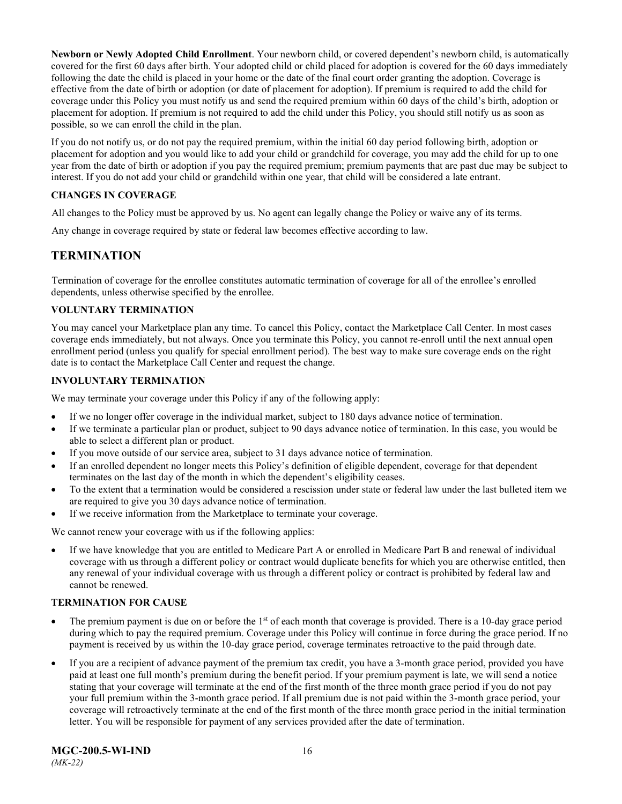**Newborn or Newly Adopted Child Enrollment**. Your newborn child, or covered dependent's newborn child, is automatically covered for the first 60 days after birth. Your adopted child or child placed for adoption is covered for the 60 days immediately following the date the child is placed in your home or the date of the final court order granting the adoption. Coverage is effective from the date of birth or adoption (or date of placement for adoption). If premium is required to add the child for coverage under this Policy you must notify us and send the required premium within 60 days of the child's birth, adoption or placement for adoption. If premium is not required to add the child under this Policy, you should still notify us as soon as possible, so we can enroll the child in the plan.

If you do not notify us, or do not pay the required premium, within the initial 60 day period following birth, adoption or placement for adoption and you would like to add your child or grandchild for coverage, you may add the child for up to one year from the date of birth or adoption if you pay the required premium; premium payments that are past due may be subject to interest. If you do not add your child or grandchild within one year, that child will be considered a late entrant.

### <span id="page-18-0"></span>**CHANGES IN COVERAGE**

All changes to the Policy must be approved by us. No agent can legally change the Policy or waive any of its terms.

<span id="page-18-1"></span>Any change in coverage required by state or federal law becomes effective according to law.

### **TERMINATION**

Termination of coverage for the enrollee constitutes automatic termination of coverage for all of the enrollee's enrolled dependents, unless otherwise specified by the enrollee.

### <span id="page-18-2"></span>**VOLUNTARY TERMINATION**

You may cancel your Marketplace plan any time. To cancel this Policy, contact the Marketplace Call Center. In most cases coverage ends immediately, but not always. Once you terminate this Policy, you cannot re-enroll until the next annual open enrollment period (unless you qualify for special enrollment period). The best way to make sure coverage ends on the right date is to contact the Marketplace Call Center and request the change.

### <span id="page-18-3"></span>**INVOLUNTARY TERMINATION**

We may terminate your coverage under this Policy if any of the following apply:

- If we no longer offer coverage in the individual market, subject to 180 days advance notice of termination.
- If we terminate a particular plan or product, subject to 90 days advance notice of termination. In this case, you would be able to select a different plan or product.
- If you move outside of our service area, subject to 31 days advance notice of termination.
- If an enrolled dependent no longer meets this Policy's definition of eligible dependent, coverage for that dependent terminates on the last day of the month in which the dependent's eligibility ceases.
- To the extent that a termination would be considered a rescission under state or federal law under the last bulleted item we are required to give you 30 days advance notice of termination.
- If we receive information from the Marketplace to terminate your coverage.

We cannot renew your coverage with us if the following applies:

• If we have knowledge that you are entitled to Medicare Part A or enrolled in Medicare Part B and renewal of individual coverage with us through a different policy or contract would duplicate benefits for which you are otherwise entitled, then any renewal of your individual coverage with us through a different policy or contract is prohibited by federal law and cannot be renewed.

### <span id="page-18-4"></span>**TERMINATION FOR CAUSE**

- The premium payment is due on or before the  $1<sup>st</sup>$  of each month that coverage is provided. There is a 10-day grace period during which to pay the required premium. Coverage under this Policy will continue in force during the grace period. If no payment is received by us within the 10-day grace period, coverage terminates retroactive to the paid through date.
- If you are a recipient of advance payment of the premium tax credit, you have a 3-month grace period, provided you have paid at least one full month's premium during the benefit period. If your premium payment is late, we will send a notice stating that your coverage will terminate at the end of the first month of the three month grace period if you do not pay your full premium within the 3-month grace period. If all premium due is not paid within the 3-month grace period, your coverage will retroactively terminate at the end of the first month of the three month grace period in the initial termination letter. You will be responsible for payment of any services provided after the date of termination.